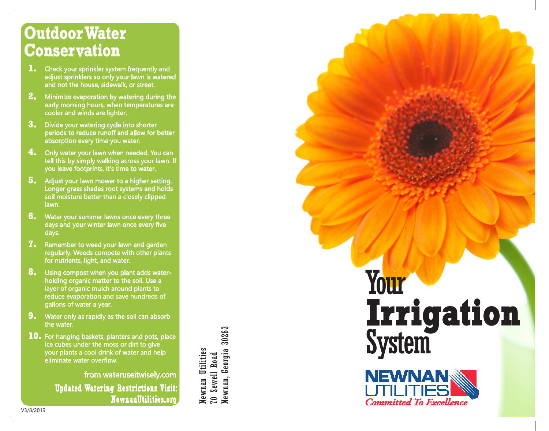## **Outdoor Water Conservation**

- **1.** Check your sprinkler system frequently and adjust sprinklers so only your lawn is watered and not the house, sidewalk, or street.
- **2.** Minimize evaporation by watering during the early morning hours, when temperatures are cooler and winds are lighter.
- **3.** Divide your watering cycle into shorter periods to reduce runoff and allow for better absorption every time you water.
- **4.** Only water your lawn when needed. You can tell this by simply walking across your lawn. If you leave footprints, it's time to water.
- **5.** Adjust your lawn mower to a higher setting. Longer grass shades root systems and holds soil moisture better than a closely clipped lawn.
- **6.** Water your summer lawns once every three days and your winter lawn once every five days.
- **7.** Remember to weed your lawn and garden regularly. Weeds compete with other plants for nutrients, light, and water.
- **8.** Using compost when you plant adds waterholding organic matter to the soil. Use a layer of organic mulch around plants to reduce evaporation and save hundreds of gallons of water a year.
- **9.** Water only as rapidly as the soil can absorb the water.
- **10.** For hanging baskets, planters and pots, place ice cubes under the moss or dirt to give your plants a cool drink of water and help eliminate water overflow.

from wateruseitwisely.com Updated Watering Restrictions Visit: NewnanUtilities.org

Newnan, Georgia 30263 Newnan, Georgia 30263 Newnan Utilities Newnan Utilities **70 Sewell Road** 70 Sewell Road